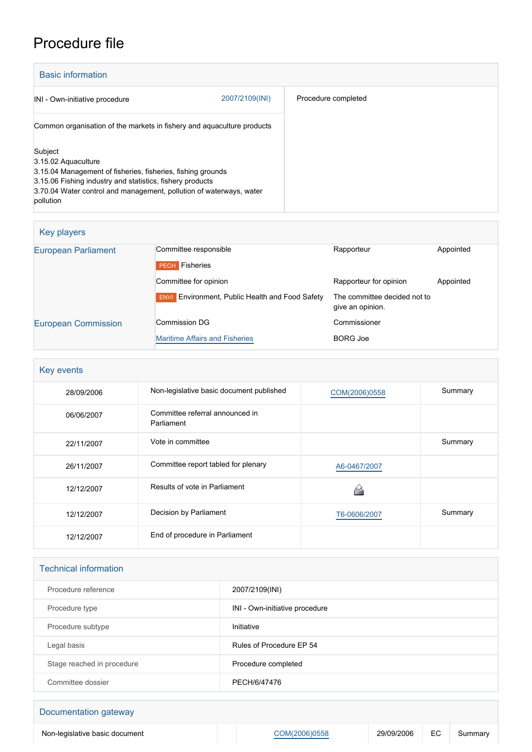## Procedure file

| <b>Basic information</b>                                                                                                                                                                                                                       |                |                     |
|------------------------------------------------------------------------------------------------------------------------------------------------------------------------------------------------------------------------------------------------|----------------|---------------------|
| INI - Own-initiative procedure                                                                                                                                                                                                                 | 2007/2109(INI) | Procedure completed |
| Common organisation of the markets in fishery and aquaculture products                                                                                                                                                                         |                |                     |
| Subject<br>3.15.02 Aquaculture<br>3.15.04 Management of fisheries, fisheries, fishing grounds<br>3.15.06 Fishing industry and statistics, fishery products<br>3.70.04 Water control and management, pollution of waterways, water<br>pollution |                |                     |

| Key players                |                                                        |                                                  |           |
|----------------------------|--------------------------------------------------------|--------------------------------------------------|-----------|
| <b>European Parliament</b> | Committee responsible                                  | Rapporteur                                       | Appointed |
|                            | <b>PECH</b> Fisheries                                  |                                                  |           |
|                            | Committee for opinion                                  | Rapporteur for opinion                           | Appointed |
|                            | <b>ENVI</b> Environment, Public Health and Food Safety | The committee decided not to<br>give an opinion. |           |
| <b>European Commission</b> | Commission DG                                          | Commissioner                                     |           |
|                            | <b>Maritime Affairs and Fisheries</b>                  | <b>BORG Joe</b>                                  |           |

| Key events |                                               |               |         |
|------------|-----------------------------------------------|---------------|---------|
| 28/09/2006 | Non-legislative basic document published      | COM(2006)0558 | Summary |
| 06/06/2007 | Committee referral announced in<br>Parliament |               |         |
| 22/11/2007 | Vote in committee                             |               | Summary |
| 26/11/2007 | Committee report tabled for plenary           | A6-0467/2007  |         |
| 12/12/2007 | Results of vote in Parliament                 |               |         |
| 12/12/2007 | Decision by Parliament                        | T6-0606/2007  | Summary |
| 12/12/2007 | End of procedure in Parliament                |               |         |

| <b>Technical information</b> |                                |  |
|------------------------------|--------------------------------|--|
| Procedure reference          | 2007/2109(INI)                 |  |
| Procedure type               | INI - Own-initiative procedure |  |
| Procedure subtype            | Initiative                     |  |
| Legal basis                  | Rules of Procedure EP 54       |  |
| Stage reached in procedure   | Procedure completed            |  |
| Committee dossier            | PECH/6/47476                   |  |

| Documentation gateway          |               |            |    |         |
|--------------------------------|---------------|------------|----|---------|
| Non-legislative basic document | COM(2006)0558 | 29/09/2006 | EC | Summary |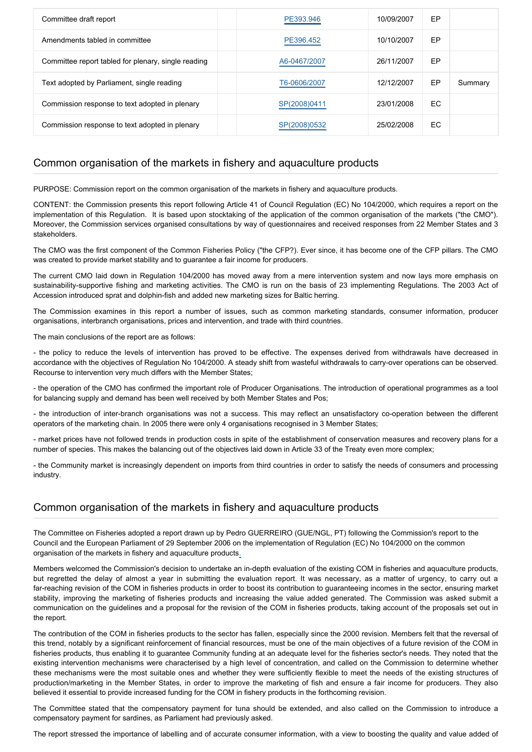| Committee draft report                              | PE393.946    | 10/09/2007 | EP        |         |
|-----------------------------------------------------|--------------|------------|-----------|---------|
| Amendments tabled in committee                      | PE396.452    | 10/10/2007 | EP        |         |
| Committee report tabled for plenary, single reading | A6-0467/2007 | 26/11/2007 | EP        |         |
| Text adopted by Parliament, single reading          | T6-0606/2007 | 12/12/2007 | EP        | Summary |
| Commission response to text adopted in plenary      | SP(2008)0411 | 23/01/2008 | <b>EC</b> |         |
| Commission response to text adopted in plenary      | SP(2008)0532 | 25/02/2008 | EC.       |         |

## Common organisation of the markets in fishery and aquaculture products

PURPOSE: Commission report on the common organisation of the markets in fishery and aquaculture products.

CONTENT: the Commission presents this report following Article 41 of Council Regulation (EC) No 104/2000, which requires a report on the implementation of this Regulation. It is based upon stocktaking of the application of the common organisation of the markets ("the CMO"). Moreover, the Commission services organised consultations by way of questionnaires and received responses from 22 Member States and 3 stakeholders.

The CMO was the first component of the Common Fisheries Policy ("the CFP?). Ever since, it has become one of the CFP pillars. The CMO was created to provide market stability and to guarantee a fair income for producers.

The current CMO laid down in Regulation 104/2000 has moved away from a mere intervention system and now lays more emphasis on sustainability-supportive fishing and marketing activities. The CMO is run on the basis of 23 implementing Regulations. The 2003 Act of Accession introduced sprat and dolphin-fish and added new marketing sizes for Baltic herring.

The Commission examines in this report a number of issues, such as common marketing standards, consumer information, producer organisations, interbranch organisations, prices and intervention, and trade with third countries.

The main conclusions of the report are as follows:

- the policy to reduce the levels of intervention has proved to be effective. The expenses derived from withdrawals have decreased in accordance with the objectives of Regulation No 104/2000. A steady shift from wasteful withdrawals to carry-over operations can be observed. Recourse to intervention very much differs with the Member States;

- the operation of the CMO has confirmed the important role of Producer Organisations. The introduction of operational programmes as a tool for balancing supply and demand has been well received by both Member States and Pos;

- the introduction of inter-branch organisations was not a success. This may reflect an unsatisfactory co-operation between the different operators of the marketing chain. In 2005 there were only 4 organisations recognised in 3 Member States;

- market prices have not followed trends in production costs in spite of the establishment of conservation measures and recovery plans for a number of species. This makes the balancing out of the objectives laid down in Article 33 of the Treaty even more complex;

- the Community market is increasingly dependent on imports from third countries in order to satisfy the needs of consumers and processing industry.

## Common organisation of the markets in fishery and aquaculture products

The Committee on Fisheries adopted a report drawn up by Pedro GUERREIRO (GUE/NGL, PT) following the Commission's report to the Council and the European Parliament of 29 September 2006 on the implementation of Regulation (EC) No 104/2000 on the common organisation of the markets in fishery and aquaculture products.

Members welcomed the Commission's decision to undertake an in-depth evaluation of the existing COM in fisheries and aquaculture products, but regretted the delay of almost a year in submitting the evaluation report. It was necessary, as a matter of urgency, to carry out a far-reaching revision of the COM in fisheries products in order to boost its contribution to guaranteeing incomes in the sector, ensuring market stability, improving the marketing of fisheries products and increasing the value added generated. The Commission was asked submit a communication on the guidelines and a proposal for the revision of the COM in fisheries products, taking account of the proposals set out in the report.

The contribution of the COM in fisheries products to the sector has fallen, especially since the 2000 revision. Members felt that the reversal of this trend, notably by a significant reinforcement of financial resources, must be one of the main objectives of a future revision of the COM in fisheries products, thus enabling it to guarantee Community funding at an adequate level for the fisheries sector's needs. They noted that the existing intervention mechanisms were characterised by a high level of concentration, and called on the Commission to determine whether these mechanisms were the most suitable ones and whether they were sufficiently flexible to meet the needs of the existing structures of production/marketing in the Member States, in order to improve the marketing of fish and ensure a fair income for producers. They also believed it essential to provide increased funding for the COM in fishery products in the forthcoming revision.

The Committee stated that the compensatory payment for tuna should be extended, and also called on the Commission to introduce a compensatory payment for sardines, as Parliament had previously asked.

The report stressed the importance of labelling and of accurate consumer information, with a view to boosting the quality and value added of